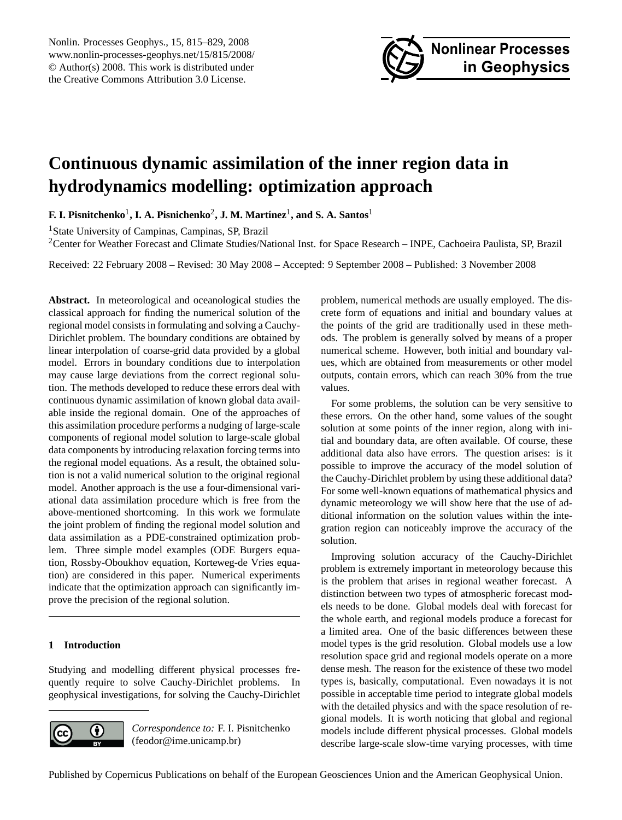<span id="page-0-0"></span>Nonlin. Processes Geophys., 15, 815–829, 2008 www.nonlin-processes-geophys.net/15/815/2008/ © Author(s) 2008. This work is distributed under the Creative Commons Attribution 3.0 License.



# **Continuous dynamic assimilation of the inner region data in hydrodynamics modelling: optimization approach**

 ${\bf F.~I.~P}$ isnitchenko<sup>1</sup>,  ${\bf I.~A.~P}$ isnichenko<sup>2</sup>,  ${\bf J.~M.~Martínez^1,~and~S.~A.~Santos^1}$ 

<sup>1</sup>State University of Campinas, Campinas, SP, Brazil

<sup>2</sup>Center for Weather Forecast and Climate Studies/National Inst. for Space Research – INPE, Cachoeira Paulista, SP, Brazil

Received: 22 February 2008 – Revised: 30 May 2008 – Accepted: 9 September 2008 – Published: 3 November 2008

**Abstract.** In meteorological and oceanological studies the classical approach for finding the numerical solution of the regional model consists in formulating and solving a Cauchy-Dirichlet problem. The boundary conditions are obtained by linear interpolation of coarse-grid data provided by a global model. Errors in boundary conditions due to interpolation may cause large deviations from the correct regional solution. The methods developed to reduce these errors deal with continuous dynamic assimilation of known global data available inside the regional domain. One of the approaches of this assimilation procedure performs a nudging of large-scale components of regional model solution to large-scale global data components by introducing relaxation forcing terms into the regional model equations. As a result, the obtained solution is not a valid numerical solution to the original regional model. Another approach is the use a four-dimensional variational data assimilation procedure which is free from the above-mentioned shortcoming. In this work we formulate the joint problem of finding the regional model solution and data assimilation as a PDE-constrained optimization problem. Three simple model examples (ODE Burgers equation, Rossby-Oboukhov equation, Korteweg-de Vries equation) are considered in this paper. Numerical experiments indicate that the optimization approach can significantly improve the precision of the regional solution.

# **1 Introduction**

Studying and modelling different physical processes frequently require to solve Cauchy-Dirichlet problems. In geophysical investigations, for solving the Cauchy-Dirichlet



*Correspondence to:* F. I. Pisnitchenko (feodor@ime.unicamp.br)

problem, numerical methods are usually employed. The discrete form of equations and initial and boundary values at the points of the grid are traditionally used in these methods. The problem is generally solved by means of a proper numerical scheme. However, both initial and boundary values, which are obtained from measurements or other model outputs, contain errors, which can reach 30% from the true values.

For some problems, the solution can be very sensitive to these errors. On the other hand, some values of the sought solution at some points of the inner region, along with initial and boundary data, are often available. Of course, these additional data also have errors. The question arises: is it possible to improve the accuracy of the model solution of the Cauchy-Dirichlet problem by using these additional data? For some well-known equations of mathematical physics and dynamic meteorology we will show here that the use of additional information on the solution values within the integration region can noticeably improve the accuracy of the solution.

Improving solution accuracy of the Cauchy-Dirichlet problem is extremely important in meteorology because this is the problem that arises in regional weather forecast. A distinction between two types of atmospheric forecast models needs to be done. Global models deal with forecast for the whole earth, and regional models produce a forecast for a limited area. One of the basic differences between these model types is the grid resolution. Global models use a low resolution space grid and regional models operate on a more dense mesh. The reason for the existence of these two model types is, basically, computational. Even nowadays it is not possible in acceptable time period to integrate global models with the detailed physics and with the space resolution of regional models. It is worth noticing that global and regional models include different physical processes. Global models describe large-scale slow-time varying processes, with time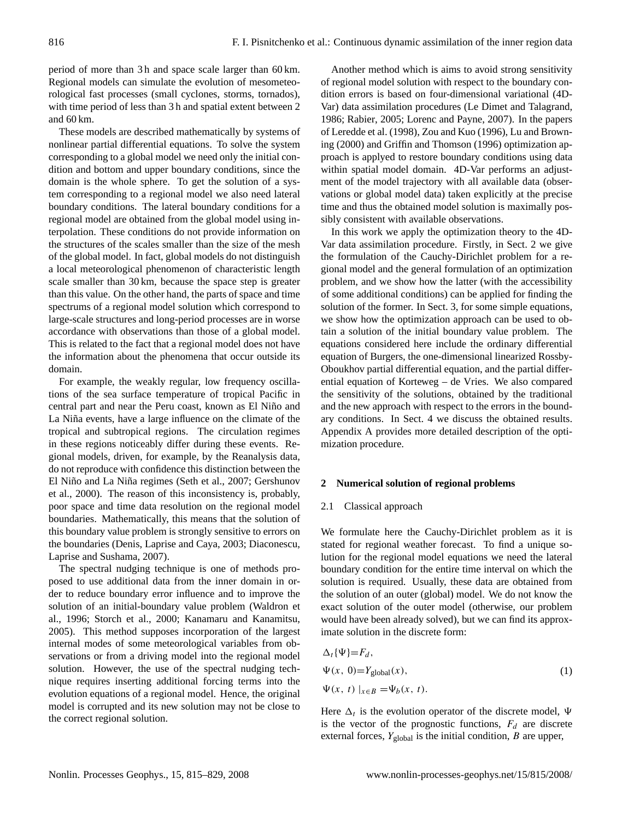period of more than 3 h and space scale larger than 60 km. Regional models can simulate the evolution of mesometeorological fast processes (small cyclones, storms, tornados), with time period of less than 3 h and spatial extent between 2 and 60 km.

These models are described mathematically by systems of nonlinear partial differential equations. To solve the system corresponding to a global model we need only the initial condition and bottom and upper boundary conditions, since the domain is the whole sphere. To get the solution of a system corresponding to a regional model we also need lateral boundary conditions. The lateral boundary conditions for a regional model are obtained from the global model using interpolation. These conditions do not provide information on the structures of the scales smaller than the size of the mesh of the global model. In fact, global models do not distinguish a local meteorological phenomenon of characteristic length scale smaller than 30 km, because the space step is greater than this value. On the other hand, the parts of space and time spectrums of a regional model solution which correspond to large-scale structures and long-period processes are in worse accordance with observations than those of a global model. This is related to the fact that a regional model does not have the information about the phenomena that occur outside its domain.

For example, the weakly regular, low frequency oscillations of the sea surface temperature of tropical Pacific in central part and near the Peru coast, known as El Niño and La Niña events, have a large influence on the climate of the tropical and subtropical regions. The circulation regimes in these regions noticeably differ during these events. Regional models, driven, for example, by the Reanalysis data, do not reproduce with confidence this distinction between the El Niño and La Niña regimes ([Seth et al.,](#page-13-0) [2007;](#page-13-0) [Gershunov](#page-13-1) [et al.,](#page-13-1) [2000\)](#page-13-1). The reason of this inconsistency is, probably, poor space and time data resolution on the regional model boundaries. Mathematically, this means that the solution of this boundary value problem is strongly sensitive to errors on the boundaries [\(Denis, Laprise and Caya,](#page-13-2) [2003;](#page-13-2) [Diaconescu,](#page-13-3) [Laprise and Sushama,](#page-13-3) [2007\)](#page-13-3).

The spectral nudging technique is one of methods proposed to use additional data from the inner domain in order to reduce boundary error influence and to improve the solution of an initial-boundary value problem [\(Waldron et](#page-14-0) [al.,](#page-14-0) [1996;](#page-14-0) [Storch et al.,](#page-14-1) [2000;](#page-14-1) [Kanamaru and Kanamitsu,](#page-13-4) [2005\)](#page-13-4). This method supposes incorporation of the largest internal modes of some meteorological variables from observations or from a driving model into the regional model solution. However, the use of the spectral nudging technique requires inserting additional forcing terms into the evolution equations of a regional model. Hence, the original model is corrupted and its new solution may not be close to the correct regional solution.

Another method which is aims to avoid strong sensitivity of regional model solution with respect to the boundary condition errors is based on four-dimensional variational (4D-Var) data assimilation procedures [\(Le Dimet and Talagrand,](#page-13-5) [1986;](#page-13-5) [Rabier,](#page-13-6) [2005;](#page-13-6) [Lorenc and Payne,](#page-13-7) [2007\)](#page-13-7). In the papers of [Leredde et al.](#page-13-8) [\(1998\)](#page-13-8), [Zou and Kuo](#page-14-2) [\(1996\)](#page-14-2), [Lu and Brown](#page-13-9)[ing](#page-13-9) [\(2000\)](#page-13-9) and [Griffin and Thomson](#page-13-10) [\(1996\)](#page-13-10) optimization approach is applyed to restore boundary conditions using data within spatial model domain. 4D-Var performs an adjustment of the model trajectory with all available data (observations or global model data) taken explicitly at the precise time and thus the obtained model solution is maximally possibly consistent with available observations.

In this work we apply the optimization theory to the 4D-Var data assimilation procedure. Firstly, in Sect. 2 we give the formulation of the Cauchy-Dirichlet problem for a regional model and the general formulation of an optimization problem, and we show how the latter (with the accessibility of some additional conditions) can be applied for finding the solution of the former. In Sect. 3, for some simple equations, we show how the optimization approach can be used to obtain a solution of the initial boundary value problem. The equations considered here include the ordinary differential equation of Burgers, the one-dimensional linearized Rossby-Oboukhov partial differential equation, and the partial differential equation of Korteweg – de Vries. We also compared the sensitivity of the solutions, obtained by the traditional and the new approach with respect to the errors in the boundary conditions. In Sect. 4 we discuss the obtained results. Appendix A provides more detailed description of the optimization procedure.

# **2 Numerical solution of regional problems**

#### 2.1 Classical approach

We formulate here the Cauchy-Dirichlet problem as it is stated for regional weather forecast. To find a unique solution for the regional model equations we need the lateral boundary condition for the entire time interval on which the solution is required. Usually, these data are obtained from the solution of an outer (global) model. We do not know the exact solution of the outer model (otherwise, our problem would have been already solved), but we can find its approximate solution in the discrete form:

<span id="page-1-0"></span>
$$
\Delta_t \{\Psi\} = F_d,
$$
  
\n
$$
\Psi(x, 0) = Y_{\text{global}}(x),
$$
  
\n
$$
\Psi(x, t) \big|_{x \in B} = \Psi_b(x, t).
$$
\n(1)

Here  $\Delta_t$  is the evolution operator of the discrete model,  $\Psi$ is the vector of the prognostic functions,  $F_d$  are discrete external forces,  $Y_{\text{global}}$  is the initial condition,  $B$  are upper,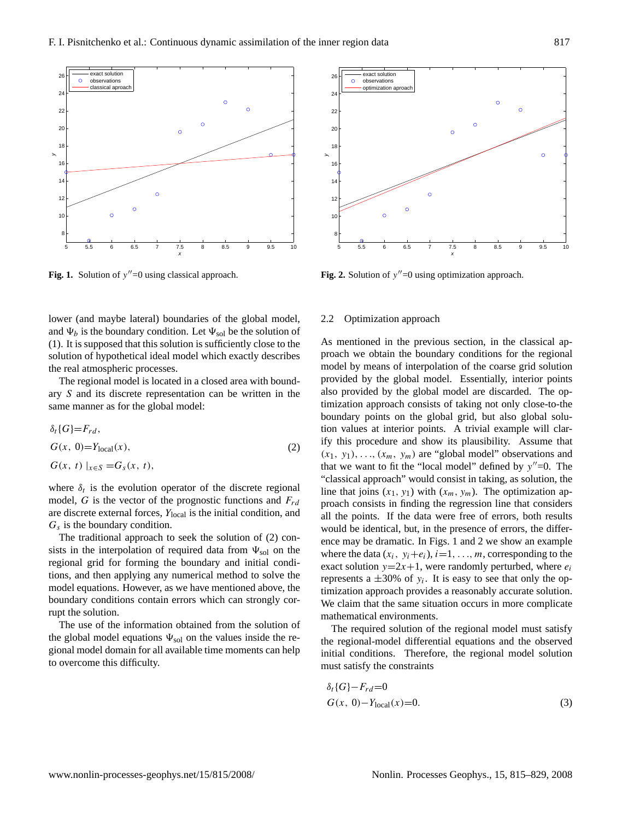

<span id="page-2-1"></span>Fig. 1. Solution of  $y''=0$  using classical approach.

lower (and maybe lateral) boundaries of the global model, and  $\Psi_b$  is the boundary condition. Let  $\Psi_{sol}$  be the solution of [\(1\)](#page-1-0). It is supposed that this solution is sufficiently close to the solution of hypothetical ideal model which exactly describes the real atmospheric processes.

The regional model is located in a closed area with boundary S and its discrete representation can be written in the same manner as for the global model:

$$
\delta_t\{G\} = F_{rd},
$$
  
\n
$$
G(x, 0) = Y_{\text{local}}(x),
$$
  
\n
$$
G(x, t) \mid_{x \in S} = G_s(x, t),
$$
\n(2)

where  $\delta_t$  is the evolution operator of the discrete regional model,  $G$  is the vector of the prognostic functions and  $F_{rd}$ are discrete external forces,  $Y_{\text{local}}$  is the initial condition, and  $G_s$  is the boundary condition.

The traditional approach to seek the solution of [\(2\)](#page-2-0) consists in the interpolation of required data from  $\Psi_{sol}$  on the regional grid for forming the boundary and initial conditions, and then applying any numerical method to solve the model equations. However, as we have mentioned above, the boundary conditions contain errors which can strongly corrupt the solution.

The use of the information obtained from the solution of the global model equations  $\Psi_{sol}$  on the values inside the regional model domain for all available time moments can help to overcome this difficulty.



<span id="page-2-2"></span>Fig. 2. Solution of  $y''=0$  using optimization approach.

## 2.2 Optimization approach

<span id="page-2-0"></span>As mentioned in the previous section, in the classical approach we obtain the boundary conditions for the regional model by means of interpolation of the coarse grid solution provided by the global model. Essentially, interior points also provided by the global model are discarded. The optimization approach consists of taking not only close-to-the boundary points on the global grid, but also global solution values at interior points. A trivial example will clarify this procedure and show its plausibility. Assume that  $(x_1, y_1), \ldots, (x_m, y_m)$  are "global model" observations and that we want to fit the "local model" defined by  $y''=0$ . The "classical approach" would consist in taking, as solution, the line that joins  $(x_1, y_1)$  with  $(x_m, y_m)$ . The optimization approach consists in finding the regression line that considers all the points. If the data were free of errors, both results would be identical, but, in the presence of errors, the difference may be dramatic. In Figs. [1](#page-2-1) and [2](#page-2-2) we show an example where the data  $(x_i, y_i+e_i)$ ,  $i=1, \ldots, m$ , corresponding to the exact solution  $y=2x+1$ , were randomly perturbed, where  $e_i$ represents a  $\pm 30\%$  of  $y_i$ . It is easy to see that only the optimization approach provides a reasonably accurate solution. We claim that the same situation occurs in more complicate mathematical environments.

The required solution of the regional model must satisfy the regional-model differential equations and the observed initial conditions. Therefore, the regional model solution must satisfy the constraints

$$
\delta_t \{G\} - F_{rd} = 0
$$
  
\n
$$
G(x, 0) - Y_{\text{local}}(x) = 0.
$$
\n(3)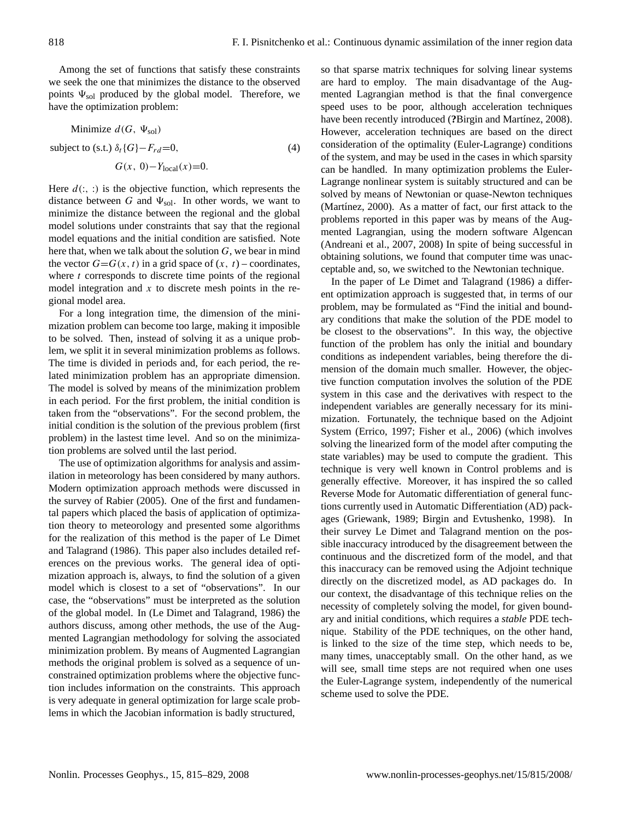Among the set of functions that satisfy these constraints we seek the one that minimizes the distance to the observed points  $\Psi_{sol}$  produced by the global model. Therefore, we have the optimization problem:

<span id="page-3-0"></span>Minimize  $d(G, \Psi_{sol})$ subject to (s.t.)  $\delta_t$ {G}− $F_{rd}$ =0,  $G(x, 0)-Y_{local}(x)=0.$ (4)

Here  $d(., .)$  is the objective function, which represents the distance between G and  $\Psi_{sol}$ . In other words, we want to minimize the distance between the regional and the global model solutions under constraints that say that the regional model equations and the initial condition are satisfied. Note here that, when we talk about the solution  $G$ , we bear in mind the vector  $G = G(x, t)$  in a grid space of  $(x, t)$  – coordinates, where  $t$  corresponds to discrete time points of the regional model integration and  $x$  to discrete mesh points in the regional model area.

For a long integration time, the dimension of the minimization problem can become too large, making it imposible to be solved. Then, instead of solving it as a unique problem, we split it in several minimization problems as follows. The time is divided in periods and, for each period, the related minimization problem has an appropriate dimension. The model is solved by means of the minimization problem in each period. For the first problem, the initial condition is taken from the "observations". For the second problem, the initial condition is the solution of the previous problem (first problem) in the lastest time level. And so on the minimization problems are solved until the last period.

The use of optimization algorithms for analysis and assimilation in meteorology has been considered by many authors. Modern optimization approach methods were discussed in the survey of [Rabier](#page-13-6) [\(2005\)](#page-13-6). One of the first and fundamental papers which placed the basis of application of optimization theory to meteorology and presented some algorithms for the realization of this method is the paper of [Le Dimet](#page-13-5) [and Talagrand](#page-13-5) [\(1986\)](#page-13-5). This paper also includes detailed references on the previous works. The general idea of optimization approach is, always, to find the solution of a given model which is closest to a set of "observations". In our case, the "observations" must be interpreted as the solution of the global model. In [\(Le Dimet and Talagrand,](#page-13-5) [1986\)](#page-13-5) the authors discuss, among other methods, the use of the Augmented Lagrangian methodology for solving the associated minimization problem. By means of Augmented Lagrangian methods the original problem is solved as a sequence of unconstrained optimization problems where the objective function includes information on the constraints. This approach is very adequate in general optimization for large scale problems in which the Jacobian information is badly structured,

so that sparse matrix techniques for solving linear systems are hard to employ. The main disadvantage of the Augmented Lagrangian method is that the final convergence speed uses to be poor, although acceleration techniques have been recently introduced (?Birgin and Martínez, [2008\)](#page-13-11). However, acceleration techniques are based on the direct consideration of the optimality (Euler-Lagrange) conditions of the system, and may be used in the cases in which sparsity can be handled. In many optimization problems the Euler-Lagrange nonlinear system is suitably structured and can be solved by means of Newtonian or quase-Newton techniques (Martínez,  $2000$ ). As a matter of fact, our first attack to the problems reported in this paper was by means of the Augmented Lagrangian, using the modern software Algencan [\(Andreani et al.,](#page-13-13) [2007,](#page-13-13) [2008\)](#page-13-14) In spite of being successful in obtaining solutions, we found that computer time was unacceptable and, so, we switched to the Newtonian technique.

In the paper of [Le Dimet and Talagrand](#page-13-5) [\(1986\)](#page-13-5) a different optimization approach is suggested that, in terms of our problem, may be formulated as "Find the initial and boundary conditions that make the solution of the PDE model to be closest to the observations". In this way, the objective function of the problem has only the initial and boundary conditions as independent variables, being therefore the dimension of the domain much smaller. However, the objective function computation involves the solution of the PDE system in this case and the derivatives with respect to the independent variables are generally necessary for its minimization. Fortunately, the technique based on the Adjoint System [\(Errico,](#page-13-15) [1997;](#page-13-15) [Fisher et al.,](#page-13-16) [2006\)](#page-13-16) (which involves solving the linearized form of the model after computing the state variables) may be used to compute the gradient. This technique is very well known in Control problems and is generally effective. Moreover, it has inspired the so called Reverse Mode for Automatic differentiation of general functions currently used in Automatic Differentiation (AD) packages [\(Griewank,](#page-13-17) [1989;](#page-13-17) [Birgin and Evtushenko,](#page-13-18) [1998\)](#page-13-18). In their survey Le Dimet and Talagrand mention on the possible inaccuracy introduced by the disagreement between the continuous and the discretized form of the model, and that this inaccuracy can be removed using the Adjoint technique directly on the discretized model, as AD packages do. In our context, the disadvantage of this technique relies on the necessity of completely solving the model, for given boundary and initial conditions, which requires a *stable* PDE technique. Stability of the PDE techniques, on the other hand, is linked to the size of the time step, which needs to be, many times, unacceptably small. On the other hand, as we will see, small time steps are not required when one uses the Euler-Lagrange system, independently of the numerical scheme used to solve the PDE.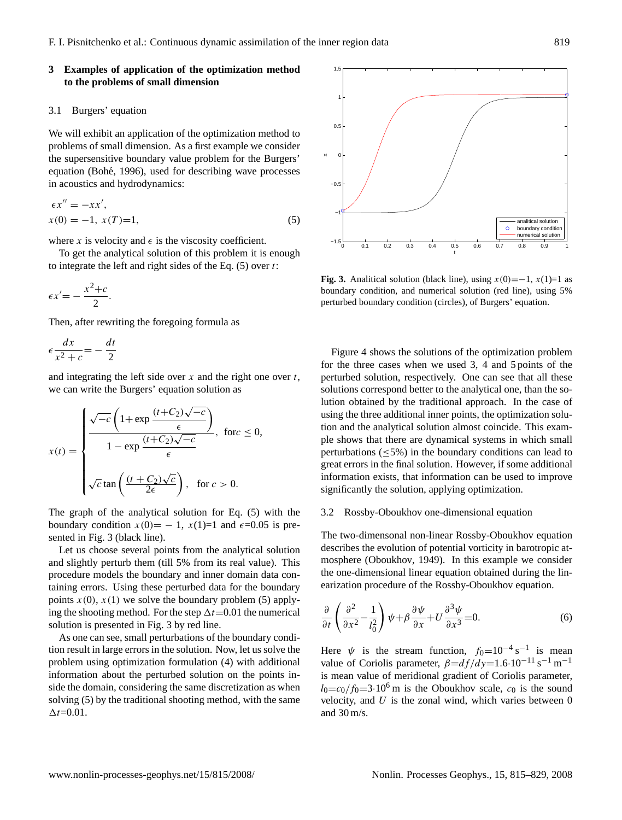# **3 Examples of application of the optimization method to the problems of small dimension**

## 3.1 Burgers' equation

We will exhibit an application of the optimization method to problems of small dimension. As a first example we consider the supersensitive boundary value problem for the Burgers' equation (Bohé, [1996\)](#page-13-19), used for describing wave processes in acoustics and hydrodynamics:

<span id="page-4-0"></span>
$$
\epsilon x'' = -x x',x(0) = -1, x(T)=1,
$$
 (5)

where x is velocity and  $\epsilon$  is the viscosity coefficient.

To get the analytical solution of this problem it is enough to integrate the left and right sides of the Eq.  $(5)$  over t:

$$
\epsilon x' = -\frac{x^2 + c}{2}.
$$

Then, after rewriting the foregoing formula as

$$
\epsilon \frac{dx}{x^2 + c} = -\frac{dt}{2}
$$

and integrating the left side over x and the right one over  $t$ , we can write the Burgers' equation solution as

$$
x(t) = \begin{cases} \frac{\sqrt{-c} \left(1 + \exp\frac{(t + C_2)\sqrt{-c}}{\epsilon}\right)}{1 - \exp\frac{(t + C_2)\sqrt{-c}}{\epsilon}}, & \text{for } c \le 0, \\ \sqrt{c} \tan\left(\frac{(t + C_2)\sqrt{c}}{2\epsilon}\right), & \text{for } c > 0. \end{cases}
$$

The graph of the analytical solution for Eq. [\(5\)](#page-4-0) with the boundary condition  $x(0) = -1$ ,  $x(1)=1$  and  $\epsilon = 0.05$  is presented in Fig. [3](#page-4-1) (black line).

Let us choose several points from the analytical solution and slightly perturb them (till 5% from its real value). This procedure models the boundary and inner domain data containing errors. Using these perturbed data for the boundary points  $x(0)$ ,  $x(1)$  we solve the boundary problem [\(5\)](#page-4-0) applying the shooting method. For the step  $\Delta t$ =0.01 the numerical solution is presented in Fig. [3](#page-4-1) by red line.

As one can see, small perturbations of the boundary condition result in large errors in the solution. Now, let us solve the problem using optimization formulation [\(4\)](#page-3-0) with additional information about the perturbed solution on the points inside the domain, considering the same discretization as when solving [\(5\)](#page-4-0) by the traditional shooting method, with the same  $\Delta t = 0.01$ .



<span id="page-4-1"></span>**Fig. 3.** Analitical solution (black line), using  $x(0) = -1$ ,  $x(1)=1$  as boundary condition, and numerical solution (red line), using 5% perturbed boundary condition (circles), of Burgers' equation.

Figure [4](#page-5-0) shows the solutions of the optimization problem for the three cases when we used 3, 4 and 5 points of the perturbed solution, respectively. One can see that all these solutions correspond better to the analytical one, than the solution obtained by the traditional approach. In the case of using the three additional inner points, the optimization solution and the analytical solution almost coincide. This example shows that there are dynamical systems in which small perturbations  $(\leq 5\%)$  in the boundary conditions can lead to great errors in the final solution. However, if some additional information exists, that information can be used to improve significantly the solution, applying optimization.

#### 3.2 Rossby-Oboukhov one-dimensional equation

The two-dimensonal non-linear Rossby-Oboukhov equation describes the evolution of potential vorticity in barotropic atmosphere [\(Oboukhov,](#page-13-20) [1949\)](#page-13-20). In this example we consider the one-dimensional linear equation obtained during the linearization procedure of the Rossby-Oboukhov equation.

<span id="page-4-2"></span>
$$
\frac{\partial}{\partial t} \left( \frac{\partial^2}{\partial x^2} - \frac{1}{l_0^2} \right) \psi + \beta \frac{\partial \psi}{\partial x} + U \frac{\partial^3 \psi}{\partial x^3} = 0. \tag{6}
$$

Here  $\psi$  is the stream function,  $f_0=10^{-4}$  s<sup>-1</sup> is mean value of Coriolis parameter,  $\beta = df/dy = 1.6 \cdot 10^{-11} \text{ s}^{-1} \text{ m}^{-1}$ is mean value of meridional gradient of Coriolis parameter,  $l_0 = c_0/f_0 = 3.10^6$  m is the Oboukhov scale,  $c_0$  is the sound velocity, and  $U$  is the zonal wind, which varies between  $0$ and 30 m/s.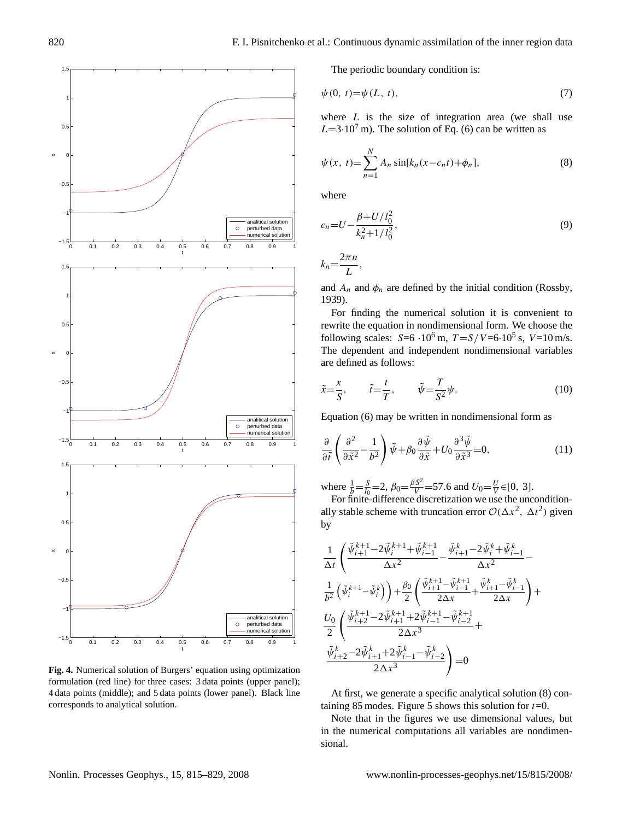

<span id="page-5-0"></span>**Fig. 4.** Numerical solution of Burgers' equation using optimization formulation (red line) for three cases: 3 data points (upper panel); 4 data points (middle); and 5 data points (lower panel). Black line corresponds to analytical solution.

<span id="page-5-1"></span>The periodic boundary condition is:

$$
\psi(0, t) = \psi(L, t),\tag{7}
$$

where  $L$  is the size of integration area (we shall use  $L=3.10<sup>7</sup>$  m). The solution of Eq. [\(6\)](#page-4-2) can be written as

$$
\psi(x, t) = \sum_{n=1}^{N} A_n \sin[k_n(x - c_n t) + \phi_n],
$$
\n(8)

where

$$
c_n = U - \frac{\beta + U/l_0^2}{k_n^2 + 1/l_0^2},\tag{9}
$$

$$
k_n = \frac{2\pi n}{L},
$$

and  $A_n$  and  $\phi_n$  are defined by the initial condition [\(Rossby,](#page-13-21) [1939\)](#page-13-21).

For finding the numerical solution it is convenient to rewrite the equation in nondimensional form. We choose the following scales:  $S=6.10^6$  m,  $T = S/V = 6.10^5$  s,  $V=10$  m/s. The dependent and independent nondimensional variables are defined as follows:

$$
\tilde{x} = \frac{x}{S}, \qquad \tilde{t} = \frac{t}{T}, \qquad \tilde{\psi} = \frac{T}{S^2} \psi. \tag{10}
$$

<span id="page-5-2"></span>Equation [\(6\)](#page-4-2) may be written in nondimensional form as

$$
\frac{\partial}{\partial \tilde{t}} \left( \frac{\partial^2}{\partial \tilde{x}^2} - \frac{1}{b^2} \right) \tilde{\psi} + \beta_0 \frac{\partial \tilde{\psi}}{\partial \tilde{x}} + U_0 \frac{\partial^3 \tilde{\psi}}{\partial \tilde{x}^3} = 0, \tag{11}
$$

where  $\frac{1}{b} = \frac{S}{l_0} = 2$ ,  $\beta_0 = \frac{\beta S^2}{V} = 57.6$  and  $U_0 = \frac{U}{V} \in [0, 3]$ .

For finite-difference discretization we use the unconditionally stable scheme with truncation error  $\mathcal{O}(\Delta x^2, \Delta t^2)$  given by

$$
\begin{split} &\frac{1}{\Delta t}\left(\frac{\tilde{\psi}_{i+1}^{k+1}\!-\!2\tilde{\psi}_{i}^{k+1}\!+\!\tilde{\psi}_{i-1}^{k+1}\!-\!\tilde{\psi}_{i+1}^{k}\!-\!2\tilde{\psi}_{i}^{k}\!+\!\tilde{\psi}_{i-1}^{k}\!}{\Delta x^2}\!-\&\frac{1}{\Delta x^2}\left(\tilde{\psi}_{i}^{k+1}\!-\!\tilde{\psi}_{i}^{k}\right)\right)\!+\!\frac{\beta_0}{2}\left(\frac{\tilde{\psi}_{i+1}^{k+1}\!-\!\tilde{\psi}_{i-1}^{k+1}\!}{2\Delta x}\!+\!\frac{\tilde{\psi}_{i+1}^{k}\!-\!\tilde{\psi}_{i-1}^{k}\!}{2\Delta x}\right)\!+\&\frac{U_0}{2}\left(\frac{\tilde{\psi}_{i+2}^{k+1}\!-\!2\tilde{\psi}_{i+1}^{k+1}\!+\!2\tilde{\psi}_{i-1}^{k+1}\!-\!\tilde{\psi}_{i-2}^{k+1}\!}{2\Delta x^3}\!+\&\frac{\tilde{\psi}_{i+2}^{k}\!-\!2\tilde{\psi}_{i+1}^{k}\!+\!2\tilde{\psi}_{i-1}^{k}\!-\!\tilde{\psi}_{i-2}^{k}\!}{2\Delta x^3}\right)\!=\!0 \end{split}
$$

At first, we generate a specific analytical solution [\(8\)](#page-5-1) con-taining 8[5](#page-6-0) modes. Figure 5 shows this solution for  $t=0$ .

Note that in the figures we use dimensional values, but in the numerical computations all variables are nondimensional.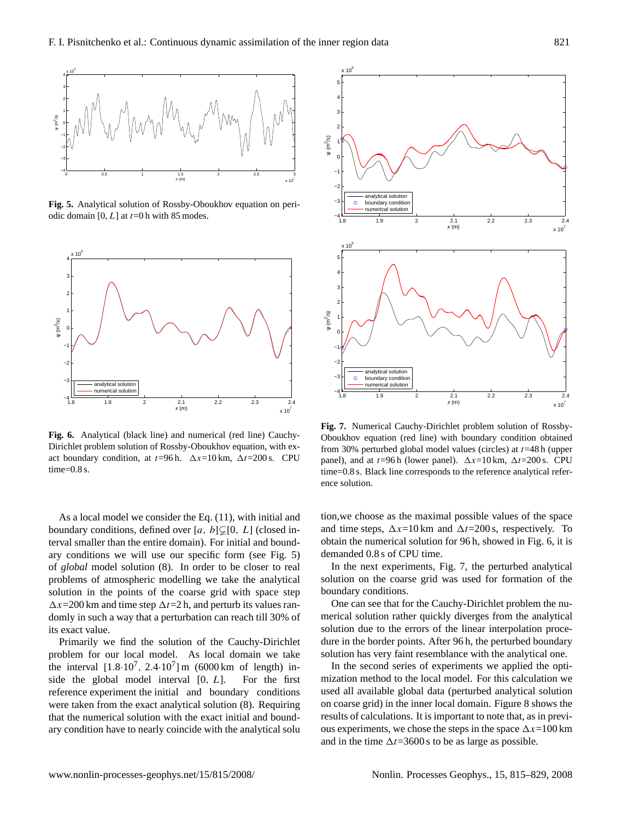

<span id="page-6-0"></span>**Fig. 5.** Analytical solution of Rossby-Oboukhov equation on periodic domain  $[0, L]$  at  $t=0$  h with 85 modes.



<span id="page-6-1"></span>**Fig. 6.** Analytical (black line) and numerical (red line) Cauchy-Dirichlet problem solution of Rossby-Oboukhov equation, with exact boundary condition, at  $t=96$  h.  $\Delta x=10$  km,  $\Delta t=200$  s. CPU time=0.8 s.

As a local model we consider the Eq. [\(11\)](#page-5-2), with initial and boundary conditions, defined over [a, b] $\mathcal{L}[0, L]$  (closed interval smaller than the entire domain). For initial and boundary conditions we will use our specific form (see Fig. [5\)](#page-6-0) of *global* model solution [\(8\)](#page-5-1). In order to be closer to real problems of atmospheric modelling we take the analytical solution in the points of the coarse grid with space step  $\Delta x$ =200 km and time step  $\Delta t$ =2 h, and perturb its values randomly in such a way that a perturbation can reach till 30% of its exact value.

Primarily we find the solution of the Cauchy-Dirichlet problem for our local model. As local domain we take the interval  $[1.8 \cdot 10^7, 2.4 \cdot 10^7]$  m (6000 km of length) inside the global model interval  $[0, L]$ . For the first reference experiment the initial and boundary conditions were taken from the exact analytical solution [\(8\)](#page-5-1). Requiring that the numerical solution with the exact initial and boundary condition have to nearly coincide with the analytical solu



<span id="page-6-2"></span>**Fig. 7.** Numerical Cauchy-Dirichlet problem solution of Rossby-Oboukhov equation (red line) with boundary condition obtained from 30% perturbed global model values (circles) at  $t=48$  h (upper panel), and at  $t=96$  h (lower panel).  $\Delta x=10$  km,  $\Delta t=200$  s. CPU time=0.8 s. Black line corresponds to the reference analytical reference solution.

tion,we choose as the maximal possible values of the space and time steps,  $\Delta x=10$  km and  $\Delta t=200$  s, respectively. To obtain the numerical solution for 96 h, showed in Fig. [6,](#page-6-1) it is demanded 0.8 s of CPU time.

In the next experiments, Fig. [7,](#page-6-2) the perturbed analytical solution on the coarse grid was used for formation of the boundary conditions.

One can see that for the Cauchy-Dirichlet problem the numerical solution rather quickly diverges from the analytical solution due to the errors of the linear interpolation procedure in the border points. After 96 h, the perturbed boundary solution has very faint resemblance with the analytical one.

In the second series of experiments we applied the optimization method to the local model. For this calculation we used all available global data (perturbed analytical solution on coarse grid) in the inner local domain. Figure [8](#page-7-0) shows the results of calculations. It is important to note that, as in previous experiments, we chose the steps in the space  $\Delta x=100$  km and in the time  $\Delta t = 3600$  s to be as large as possible.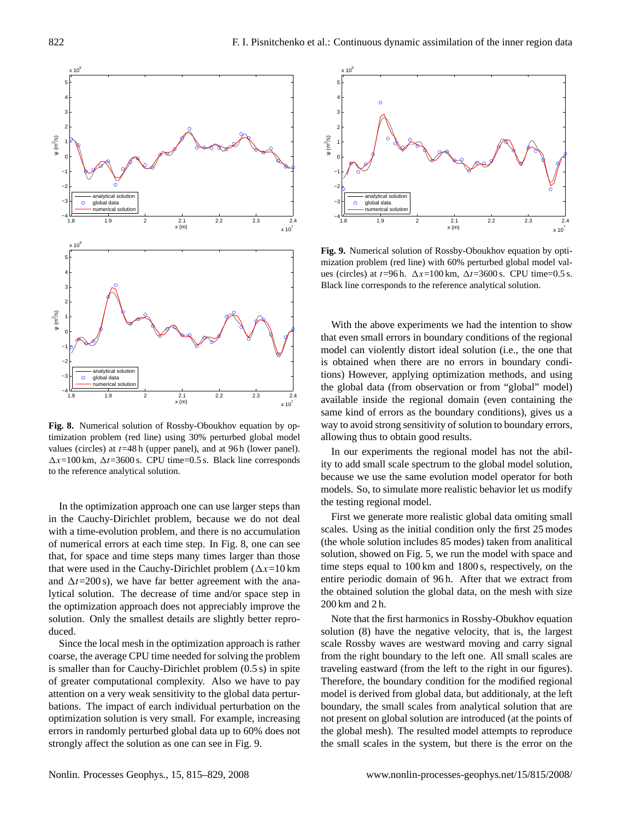

<span id="page-7-0"></span>**Fig. 8.** Numerical solution of Rossby-Oboukhov equation by optimization problem (red line) using 30% perturbed global model values (circles) at  $t=48$  h (upper panel), and at 96 h (lower panel).  $\Delta x = 100$  km,  $\Delta t = 3600$  s. CPU time=0.5 s. Black line corresponds to the reference analytical solution.

In the optimization approach one can use larger steps than in the Cauchy-Dirichlet problem, because we do not deal with a time-evolution problem, and there is no accumulation of numerical errors at each time step. In Fig. [8,](#page-7-0) one can see that, for space and time steps many times larger than those that were used in the Cauchy-Dirichlet problem  $(\Delta x=10 \text{ km})$ and  $\Delta t = 200 \text{ s}$ , we have far better agreement with the analytical solution. The decrease of time and/or space step in the optimization approach does not appreciably improve the solution. Only the smallest details are slightly better reproduced.

Since the local mesh in the optimization approach is rather coarse, the average CPU time needed for solving the problem is smaller than for Cauchy-Dirichlet problem (0.5 s) in spite of greater computational complexity. Also we have to pay attention on a very weak sensitivity to the global data perturbations. The impact of earch individual perturbation on the optimization solution is very small. For example, increasing errors in randomly perturbed global data up to 60% does not strongly affect the solution as one can see in Fig. [9.](#page-7-1)



<span id="page-7-1"></span>**Fig. 9.** Numerical solution of Rossby-Oboukhov equation by optimization problem (red line) with 60% perturbed global model values (circles) at  $t=96$  h.  $\Delta x=100$  km,  $\Delta t=3600$  s. CPU time=0.5 s. Black line corresponds to the reference analytical solution.

With the above experiments we had the intention to show that even small errors in boundary conditions of the regional model can violently distort ideal solution (i.e., the one that is obtained when there are no errors in boundary conditions) However, applying optimization methods, and using the global data (from observation or from "global" model) available inside the regional domain (even containing the same kind of errors as the boundary conditions), gives us a way to avoid strong sensitivity of solution to boundary errors, allowing thus to obtain good results.

In our experiments the regional model has not the ability to add small scale spectrum to the global model solution, because we use the same evolution model operator for both models. So, to simulate more realistic behavior let us modify the testing regional model.

First we generate more realistic global data omiting small scales. Using as the initial condition only the first 25 modes (the whole solution includes 85 modes) taken from analitical solution, showed on Fig. [5,](#page-6-0) we run the model with space and time steps equal to 100 km and 1800 s, respectively, on the entire periodic domain of 96 h. After that we extract from the obtained solution the global data, on the mesh with size 200 km and 2 h.

Note that the first harmonics in Rossby-Obukhov equation solution [\(8\)](#page-5-1) have the negative velocity, that is, the largest scale Rossby waves are westward moving and carry signal from the right boundary to the left one. All small scales are traveling eastward (from the left to the right in our figures). Therefore, the boundary condition for the modified regional model is derived from global data, but additionaly, at the left boundary, the small scales from analytical solution that are not present on global solution are introduced (at the points of the global mesh). The resulted model attempts to reproduce the small scales in the system, but there is the error on the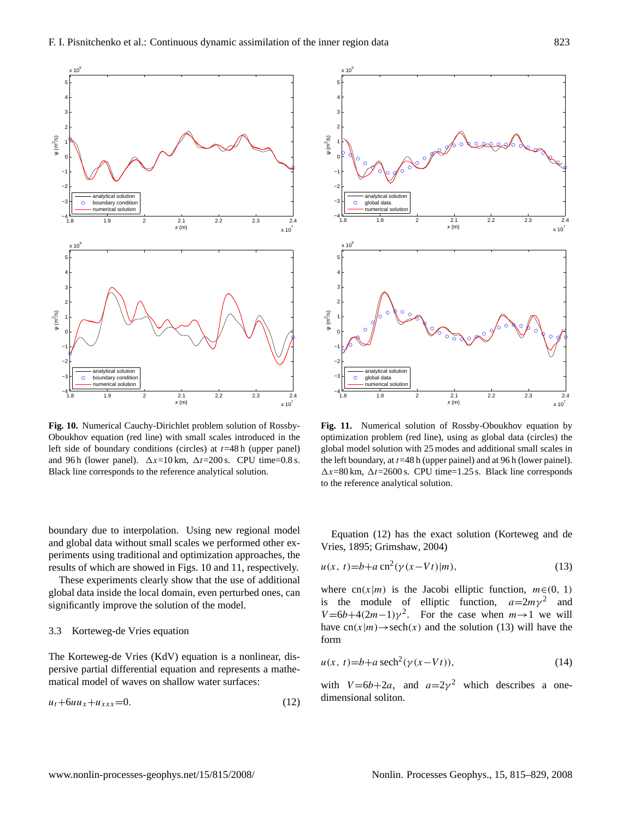

<span id="page-8-0"></span>Oboukhov equation (red line) with small scales introduced in the left side of boundary conditions (circles) at  $t=48$  h (upper panel) and 96 h (lower panel).  $\Delta x=10$  km,  $\Delta t=200$  s. CPU time=0.8 s. Black line corresponds to the reference analytical solution.

These experiments clearly show that the use of additional global data inside the local domain, even perturbed ones, can significantly improve the solution of the model.

# 3.3 Korteweg-de Vries equation

The Korteweg-de Vries (KdV) equation is a nonlinear, dispersive partial differential equation and represents a mathematical model of waves on shallow water surfaces:

$$
u_t + 6uu_x + u_{xxx} = 0. \tag{12}
$$

<span id="page-8-1"></span>**Fig. 11.** Numerical solution of Rossby-Oboukhov equation by optimization problem (red line), using as global data (circles) the global model solution with 25 modes and additional small scales in the left boundary, at  $t=48$  h (upper painel) and at 96 h (lower painel).  $\Delta x = 80$  km,  $\Delta t = 2600$  s. CPU time=1.25 s. Black line corresponds to the reference analytical solution.

<span id="page-8-3"></span>Equation [\(12\)](#page-8-2) has the exact solution [\(Korteweg and de](#page-13-22) [Vries,](#page-13-22) [1895;](#page-13-22) [Grimshaw,](#page-13-23) [2004\)](#page-13-23)

$$
u(x, t) = b + a \operatorname{cn}^{2}(\gamma(x - Vt)|m),
$$
\n(13)

where cn(x|m) is the Jacobi elliptic function,  $m \in (0, 1)$ is the module of elliptic function,  $a=2m\gamma^2$  and  $V = 6b + 4(2m-1)\gamma^2$ . For the case when  $m \rightarrow 1$  we will have  $cn(x|m) \rightarrow sech(x)$  and the solution [\(13\)](#page-8-3) will have the form

$$
u(x, t)=b+a\,\mathrm{sech}^2(\gamma(x-Vt)),\tag{14}
$$

<span id="page-8-2"></span>with  $V=6b+2a$ , and  $a=2\gamma^2$  which describes a onedimensional soliton.



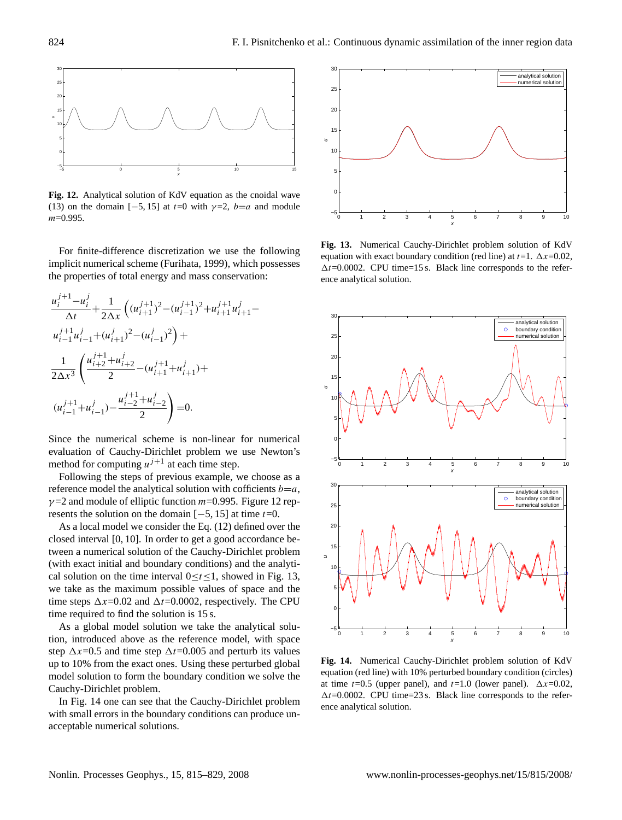

<span id="page-9-0"></span>**Fig. 12.** Analytical solution of KdV equation as the cnoidal wave [\(13\)](#page-8-3) on the domain [-5, 15] at  $t=0$  with  $\gamma=2$ ,  $b=a$  and module m=0.995.

For finite-difference discretization we use the following implicit numerical scheme [\(Furihata,](#page-13-24) [1999\)](#page-13-24), which possesses the properties of total energy and mass conservation:

$$
\frac{u_i^{j+1} - u_i^j}{\Delta t} + \frac{1}{2\Delta x} \left( (u_{i+1}^{j+1})^2 - (u_{i-1}^{j+1})^2 + u_{i+1}^{j+1} u_{i+1}^j - u_{i-1}^{j+1} u_{i-1}^j + (u_{i+1}^j)^2 - (u_{i-1}^j)^2 \right) +
$$
\n
$$
\frac{1}{2\Delta x^3} \left( \frac{u_{i+2}^{j+1} + u_{i+2}^j}{2} - (u_{i+1}^{j+1} + u_{i+1}^j) + u_{i-1}^{j+1} u_{i-1}^j - \frac{u_{i-2}^{j+1} + u_{i-2}^j}{2} \right) = 0.
$$

Since the numerical scheme is non-linear for numerical evaluation of Cauchy-Dirichlet problem we use Newton's method for computing  $u^{j+1}$  at each time step.

Following the steps of previous example, we choose as a reference model the analytical solution with cofficients  $b=a$ ,  $\gamma$ =2 and module of elliptic function *m*=0.995. Figure [12](#page-9-0) represents the solution on the domain  $[-5, 15]$  at time  $t=0$ .

As a local model we consider the Eq. [\(12\)](#page-8-2) defined over the closed interval [0, 10]. In order to get a good accordance between a numerical solution of the Cauchy-Dirichlet problem (with exact initial and boundary conditions) and the analytical solution on the time interval  $0 \le t \le 1$ , showed in Fig. [13,](#page-9-1) we take as the maximum possible values of space and the time steps  $\Delta x$ =0.02 and  $\Delta t$ =0.0002, respectively. The CPU time required to find the solution is 15 s.

As a global model solution we take the analytical solution, introduced above as the reference model, with space step  $\Delta x$ =0.5 and time step  $\Delta t$ =0.005 and perturb its values up to 10% from the exact ones. Using these perturbed global model solution to form the boundary condition we solve the Cauchy-Dirichlet problem.

In Fig. [14](#page-9-2) one can see that the Cauchy-Dirichlet problem with small errors in the boundary conditions can produce unacceptable numerical solutions.



<span id="page-9-1"></span>**Fig. 13.** Numerical Cauchy-Dirichlet problem solution of KdV equation with exact boundary condition (red line) at  $t=1$ .  $\Delta x=0.02$ ,  $\Delta t = 0.0002$ . CPU time=15 s. Black line corresponds to the reference analytical solution.



<span id="page-9-2"></span>**Fig. 14.** Numerical Cauchy-Dirichlet problem solution of KdV equation (red line) with 10% perturbed boundary condition (circles) at time  $t=0.5$  (upper panel), and  $t=1.0$  (lower panel).  $\Delta x=0.02$ ,  $\Delta t$ =0.0002. CPU time=23 s. Black line corresponds to the reference analytical solution.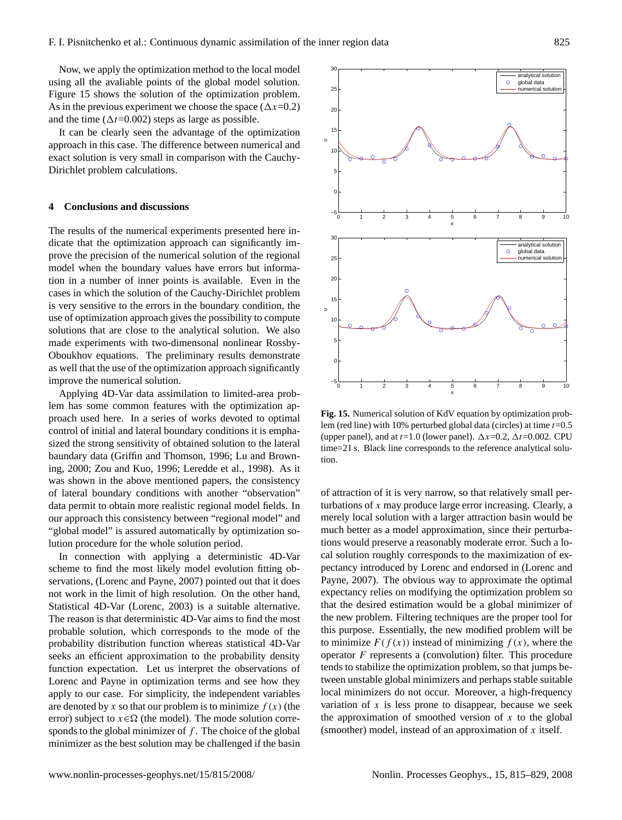Now, we apply the optimization method to the local model using all the avaliable points of the global model solution. Figure [15](#page-10-0) shows the solution of the optimization problem. As in the previous experiment we choose the space  $(\Delta x=0.2)$ and the time ( $\Delta t$ =0.002) steps as large as possible.

It can be clearly seen the advantage of the optimization approach in this case. The difference between numerical and exact solution is very small in comparison with the Cauchy-Dirichlet problem calculations.

# **4 Conclusions and discussions**

The results of the numerical experiments presented here indicate that the optimization approach can significantly improve the precision of the numerical solution of the regional model when the boundary values have errors but information in a number of inner points is available. Even in the cases in which the solution of the Cauchy-Dirichlet problem is very sensitive to the errors in the boundary condition, the use of optimization approach gives the possibility to compute solutions that are close to the analytical solution. We also made experiments with two-dimensonal nonlinear Rossby-Oboukhov equations. The preliminary results demonstrate as well that the use of the optimization approach significantly improve the numerical solution.

Applying 4D-Var data assimilation to limited-area problem has some common features with the optimization approach used here. In a series of works devoted to optimal control of initial and lateral boundary conditions it is emphasized the strong sensitivity of obtained solution to the lateral baundary data [\(Griffin and Thomson,](#page-13-10) [1996;](#page-13-10) [Lu and Brown](#page-13-9)[ing,](#page-13-9) [2000;](#page-13-9) [Zou and Kuo,](#page-14-2) [1996;](#page-14-2) [Leredde et al.,](#page-13-8) [1998\)](#page-13-8). As it was shown in the above mentioned papers, the consistency of lateral boundary conditions with another "observation" data permit to obtain more realistic regional model fields. In our approach this consistency between "regional model" and "global model" is assured automatically by optimization solution procedure for the whole solution period.

In connection with applying a deterministic 4D-Var scheme to find the most likely model evolution fitting observations, [\(Lorenc and Payne,](#page-13-7) [2007\)](#page-13-7) pointed out that it does not work in the limit of high resolution. On the other hand, Statistical 4D-Var [\(Lorenc,](#page-13-25) [2003\)](#page-13-25) is a suitable alternative. The reason is that deterministic 4D-Var aims to find the most probable solution, which corresponds to the mode of the probability distribution function whereas statistical 4D-Var seeks an efficient approximation to the probability density function expectation. Let us interpret the observations of Lorenc and Payne in optimization terms and see how they apply to our case. For simplicity, the independent variables are denoted by x so that our problem is to minimize  $f(x)$  (the error) subject to  $x \in \Omega$  (the model). The mode solution corresponds to the global minimizer of  $f$ . The choice of the global minimizer as the best solution may be challenged if the basin



<span id="page-10-0"></span>**Fig. 15.** Numerical solution of KdV equation by optimization problem (red line) with 10% perturbed global data (circles) at time  $t=0.5$ (upper panel), and at  $t=1.0$  (lower panel).  $\Delta x=0.2$ ,  $\Delta t=0.002$ . CPU time=21 s. Black line corresponds to the reference analytical solution.

of attraction of it is very narrow, so that relatively small perturbations of  $x$  may produce large error increasing. Clearly, a merely local solution with a larger attraction basin would be much better as a model approximation, since their perturbations would preserve a reasonably moderate error. Such a local solution roughly corresponds to the maximization of expectancy introduced by Lorenc and endorsed in [\(Lorenc and](#page-13-7) [Payne,](#page-13-7) [2007\)](#page-13-7). The obvious way to approximate the optimal expectancy relies on modifying the optimization problem so that the desired estimation would be a global minimizer of the new problem. Filtering techniques are the proper tool for this purpose. Essentially, the new modified problem will be to minimize  $F(f(x))$  instead of minimizing  $f(x)$ , where the operator  $F$  represents a (convolution) filter. This procedure tends to stabilize the optimization problem, so that jumps between unstable global minimizers and perhaps stable suitable local minimizers do not occur. Moreover, a high-frequency variation of  $x$  is less prone to disappear, because we seek the approximation of smoothed version of  $x$  to the global (smoother) model, instead of an approximation of  $x$  itself.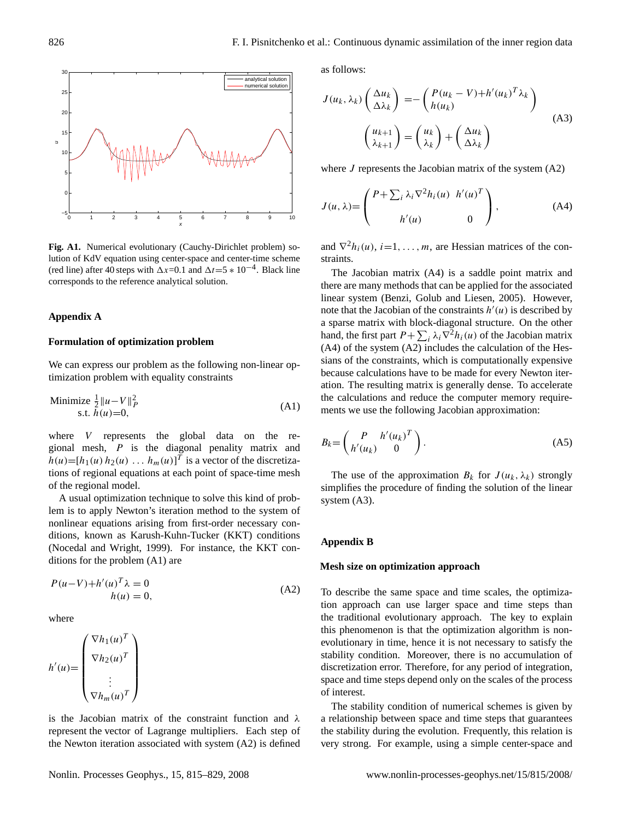

<span id="page-11-4"></span>**Fig. A1.** Numerical evolutionary (Cauchy-Dirichlet problem) solution of KdV equation using center-space and center-time scheme (red line) after 40 steps with  $\Delta x=0.1$  and  $\Delta t=5 * 10^{-4}$ . Black line corresponds to the reference analytical solution.

# **Appendix A**

# **Formulation of optimization problem**

We can express our problem as the following non-linear optimization problem with equality constraints

Minimize 
$$
\frac{1}{2} ||u - V||_P^2
$$
  
s.t.  $h(u)=0$ , (A1)

where V represents the global data on the regional mesh, P is the diagonal penality matrix and  $h(u) = [h_1(u) h_2(u) \dots h_m(u)]^T$  is a vector of the discretizations of regional equations at each point of space-time mesh of the regional model.

A usual optimization technique to solve this kind of problem is to apply Newton's iteration method to the system of nonlinear equations arising from first-order necessary conditions, known as Karush-Kuhn-Tucker (KKT) conditions [\(Nocedal and Wright,](#page-13-26) [1999\)](#page-13-26). For instance, the KKT conditions for the problem [\(A1\)](#page-11-0) are

$$
P(u-V) + h'(u)T \lambda = 0
$$
  
 
$$
h(u) = 0,
$$
 (A2)

where

$$
h'(u) = \begin{pmatrix} \nabla h_1(u)^T \\ \nabla h_2(u)^T \\ \vdots \\ \nabla h_m(u)^T \end{pmatrix}
$$

is the Jacobian matrix of the constraint function and  $\lambda$ represent the vector of Lagrange multipliers. Each step of the Newton iteration associated with system [\(A2\)](#page-11-1) is defined <span id="page-11-3"></span>as follows:

$$
J(u_k, \lambda_k) \begin{pmatrix} \Delta u_k \\ \Delta \lambda_k \end{pmatrix} = - \begin{pmatrix} P(u_k - V) + h'(u_k)^T \lambda_k \\ h(u_k) \end{pmatrix}
$$
  

$$
\begin{pmatrix} u_{k+1} \\ \lambda_{k+1} \end{pmatrix} = \begin{pmatrix} u_k \\ \lambda_k \end{pmatrix} + \begin{pmatrix} \Delta u_k \\ \Delta \lambda_k \end{pmatrix}
$$
 (A3)

<span id="page-11-2"></span>where  $J$  represents the Jacobian matrix of the system  $(A2)$ 

$$
J(u, \lambda) = \begin{pmatrix} P + \sum_{i} \lambda_i \nabla^2 h_i(u) & h'(u)^T \\ h'(u) & 0 \end{pmatrix},
$$
 (A4)

and  $\nabla^2 h_i(u)$ ,  $i=1,\ldots,m$ , are Hessian matrices of the constraints.

The Jacobian matrix [\(A4\)](#page-11-2) is a saddle point matrix and there are many methods that can be applied for the associated linear system [\(Benzi, Golub and Liesen,](#page-13-27) [2005\)](#page-13-27). However, note that the Jacobian of the constraints  $h'(u)$  is described by a sparse matrix with block-diagonal structure. On the other hand, the first part  $P + \sum_i \lambda_i \nabla^2 h_i(u)$  of the Jacobian matrix [\(A4\)](#page-11-2) of the system [\(A2\)](#page-11-1) includes the calculation of the Hessians of the constraints, which is computationally expensive because calculations have to be made for every Newton iteration. The resulting matrix is generally dense. To accelerate the calculations and reduce the computer memory requirements we use the following Jacobian approximation:

<span id="page-11-0"></span>
$$
B_k = \begin{pmatrix} P & h'(u_k)^T \\ h'(u_k) & 0 \end{pmatrix}.
$$
 (A5)

The use of the approximation  $B_k$  for  $J(u_k, \lambda_k)$  strongly simplifies the procedure of finding the solution of the linear system [\(A3\)](#page-11-3).

# **Appendix B**

## <span id="page-11-1"></span>**Mesh size on optimization approach**

To describe the same space and time scales, the optimization approach can use larger space and time steps than the traditional evolutionary approach. The key to explain this phenomenon is that the optimization algorithm is nonevolutionary in time, hence it is not necessary to satisfy the stability condition. Moreover, there is no accumulation of discretization error. Therefore, for any period of integration, space and time steps depend only on the scales of the process of interest.

The stability condition of numerical schemes is given by a relationship between space and time steps that guarantees the stability during the evolution. Frequently, this relation is very strong. For example, using a simple center-space and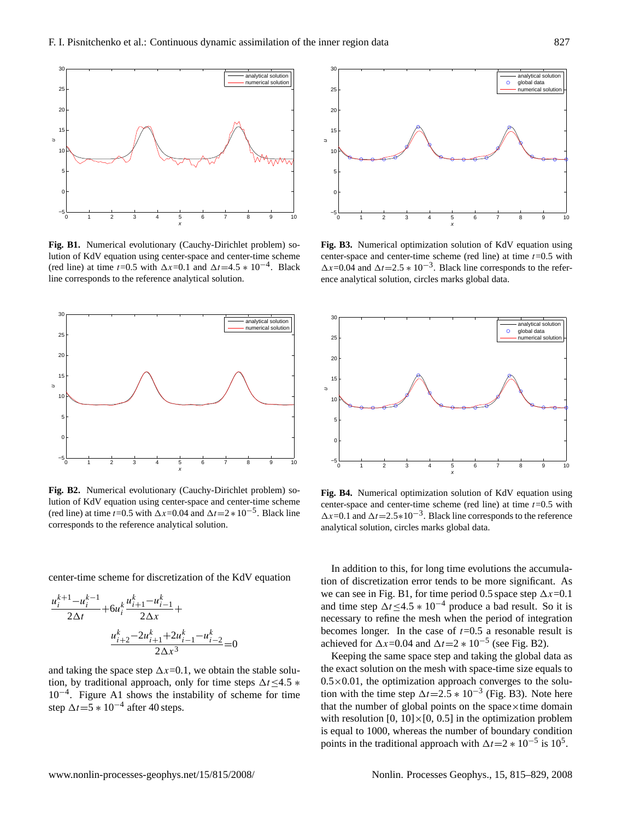

<span id="page-12-0"></span>**Fig. B1.** Numerical evolutionary (Cauchy-Dirichlet problem) solution of KdV equation using center-space and center-time scheme (red line) at time t=0.5 with  $\Delta x=0.1$  and  $\Delta t=4.5 * 10^{-4}$ . Black line corresponds to the reference analytical solution.



<span id="page-12-1"></span>**Fig. B2.** Numerical evolutionary (Cauchy-Dirichlet problem) solution of KdV equation using center-space and center-time scheme (red line) at time t=0.5 with  $\Delta x$ =0.04 and  $\Delta t$ =2 \* 10<sup>-5</sup>. Black line corresponds to the reference analytical solution.

center-time scheme for discretization of the KdV equation

$$
\frac{u_i^{k+1} - u_i^{k-1}}{2\Delta t} + 6u_i^k \frac{u_{i+1}^k - u_{i-1}^k}{2\Delta x} + \frac{u_{i+2}^k - 2u_{i+1}^k + 2u_{i-1}^k - u_{i-2}^k}{2\Delta x^3} = 0
$$

and taking the space step  $\Delta x=0.1$ , we obtain the stable solution, by traditional approach, only for time steps  $\Delta t$  <4.5  $*$ 10−<sup>4</sup> . Figure [A1](#page-11-4) shows the instability of scheme for time step  $\Delta t = 5 * 10^{-4}$  after 40 steps.



<span id="page-12-2"></span>**Fig. B3.** Numerical optimization solution of KdV equation using center-space and center-time scheme (red line) at time  $t=0.5$  with  $\Delta x$ =0.04 and  $\Delta t$ =2.5  $* 10^{-3}$ . Black line corresponds to the reference analytical solution, circles marks global data.



<span id="page-12-3"></span>**Fig. B4.** Numerical optimization solution of KdV equation using center-space and center-time scheme (red line) at time  $t=0.5$  with  $\Delta x = 0.1$  and  $\Delta t = 2.5 * 10^{-3}$ . Black line corresponds to the reference analytical solution, circles marks global data.

In addition to this, for long time evolutions the accumulation of discretization error tends to be more significant. As we can see in Fig. [B1,](#page-12-0) for time period 0.5 space step  $\Delta x=0.1$ and time step  $\Delta t \le 4.5 * 10^{-4}$  produce a bad result. So it is necessary to refine the mesh when the period of integration becomes longer. In the case of  $t=0.5$  a resonable result is achieved for  $\Delta x$ =0.04 and  $\Delta t$ =2 \* 10<sup>-5</sup> (see Fig. [B2\)](#page-12-1).

Keeping the same space step and taking the global data as the exact solution on the mesh with space-time size equals to  $0.5 \times 0.01$ , the optimization approach converges to the solution with the time step  $\Delta t = 2.5 * 10^{-3}$  (Fig. [B3\)](#page-12-2). Note here that the number of global points on the space $\times$ time domain with resolution  $[0, 10] \times [0, 0.5]$  in the optimization problem is equal to 1000, whereas the number of boundary condition points in the traditional approach with  $\Delta t = 2 * 10^{-5}$  is 10<sup>5</sup>.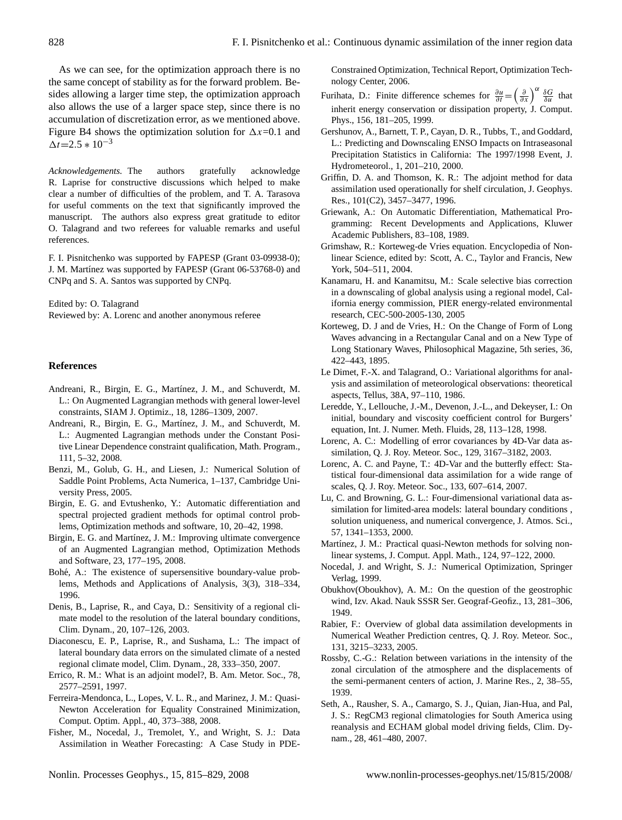As we can see, for the optimization approach there is no the same concept of stability as for the forward problem. Besides allowing a larger time step, the optimization approach also allows the use of a larger space step, since there is no accumulation of discretization error, as we mentioned above. Figure [B4](#page-12-3) shows the optimization solution for  $\Delta x=0.1$  and  $\Delta t = 2.5 * 10^{-3}$ 

*Acknowledgements.* The authors gratefully acknowledge R. Laprise for constructive discussions which helped to make clear a number of difficulties of the problem, and T. A. Tarasova for useful comments on the text that significantly improved the manuscript. The authors also express great gratitude to editor O. Talagrand and two referees for valuable remarks and useful references.

F. I. Pisnitchenko was supported by FAPESP (Grant 03-09938-0); J. M. Martínez was supported by FAPESP (Grant 06-53768-0) and CNPq and S. A. Santos was supported by CNPq.

Edited by: O. Talagrand Reviewed by: A. Lorenc and another anonymous referee

# **References**

- <span id="page-13-13"></span>Andreani, R., Birgin, E. G., Martínez, J. M., and Schuverdt, M. L.: On Augmented Lagrangian methods with general lower-level constraints, SIAM J. Optimiz., 18, 1286–1309, 2007.
- <span id="page-13-14"></span>Andreani, R., Birgin, E. G., Martínez, J. M., and Schuverdt, M. L.: Augmented Lagrangian methods under the Constant Positive Linear Dependence constraint qualification, Math. Program., 111, 5–32, 2008.
- <span id="page-13-27"></span>Benzi, M., Golub, G. H., and Liesen, J.: Numerical Solution of Saddle Point Problems, Acta Numerica, 1–137, Cambridge University Press, 2005.
- <span id="page-13-18"></span>Birgin, E. G. and Evtushenko, Y.: Automatic differentiation and spectral projected gradient methods for optimal control problems, Optimization methods and software, 10, 20–42, 1998.
- <span id="page-13-11"></span>Birgin, E. G. and Martínez, J. M.: Improving ultimate convergence of an Augmented Lagrangian method, Optimization Methods and Software, 23, 177–195, 2008.
- <span id="page-13-19"></span>Bohé, A.: The existence of supersensitive boundary-value problems, Methods and Applications of Analysis, 3(3), 318–334, 1996.
- <span id="page-13-2"></span>Denis, B., Laprise, R., and Caya, D.: Sensitivity of a regional climate model to the resolution of the lateral boundary conditions, Clim. Dynam., 20, 107–126, 2003.
- <span id="page-13-3"></span>Diaconescu, E. P., Laprise, R., and Sushama, L.: The impact of lateral boundary data errors on the simulated climate of a nested regional climate model, Clim. Dynam., 28, 333–350, 2007.
- <span id="page-13-15"></span>Errico, R. M.: What is an adjoint model?, B. Am. Metor. Soc., 78, 2577–2591, 1997.
- Ferreira-Mendonca, L., Lopes, V. L. R., and Marinez, J. M.: Quasi-Newton Acceleration for Equality Constrained Minimization, Comput. Optim. Appl., 40, 373–388, 2008.
- <span id="page-13-16"></span>Fisher, M., Nocedal, J., Tremolet, Y., and Wright, S. J.: Data Assimilation in Weather Forecasting: A Case Study in PDE-

Constrained Optimization, Technical Report, Optimization Technology Center, 2006.

- <span id="page-13-24"></span>Furihata, D.: Finite difference schemes for  $\frac{\partial u}{\partial t} = \left(\frac{\partial}{\partial x}\right)^{\alpha} \frac{\delta G}{\delta u}$  that inherit energy conservation or dissipation property, J. Comput. Phys., 156, 181–205, 1999.
- <span id="page-13-1"></span>Gershunov, A., Barnett, T. P., Cayan, D. R., Tubbs, T., and Goddard, L.: Predicting and Downscaling ENSO Impacts on Intraseasonal Precipitation Statistics in California: The 1997/1998 Event, J. Hydrometeorol., 1, 201–210, 2000.
- <span id="page-13-10"></span>Griffin, D. A. and Thomson, K. R.: The adjoint method for data assimilation used operationally for shelf circulation, J. Geophys. Res., 101(C2), 3457–3477, 1996.
- <span id="page-13-17"></span>Griewank, A.: On Automatic Differentiation, Mathematical Programming: Recent Developments and Applications, Kluwer Academic Publishers, 83–108, 1989.
- <span id="page-13-23"></span>Grimshaw, R.: Korteweg-de Vries equation. Encyclopedia of Nonlinear Science, edited by: Scott, A. C., Taylor and Francis, New York, 504–511, 2004.
- <span id="page-13-4"></span>Kanamaru, H. and Kanamitsu, M.: Scale selective bias correction in a downscaling of global analysis using a regional model, California energy commission, PIER energy-related environmental research, CEC-500-2005-130, 2005
- <span id="page-13-22"></span>Korteweg, D. J and de Vries, H.: On the Change of Form of Long Waves advancing in a Rectangular Canal and on a New Type of Long Stationary Waves, Philosophical Magazine, 5th series, 36, 422–443, 1895.
- <span id="page-13-5"></span>Le Dimet, F.-X. and Talagrand, O.: Variational algorithms for analysis and assimilation of meteorological observations: theoretical aspects, Tellus, 38A, 97–110, 1986.
- <span id="page-13-8"></span>Leredde, Y., Lellouche, J.-M., Devenon, J.-L., and Dekeyser, I.: On initial, boundary and viscosity coefficient control for Burgers' equation, Int. J. Numer. Meth. Fluids, 28, 113–128, 1998.
- <span id="page-13-25"></span>Lorenc, A. C.: Modelling of error covariances by 4D-Var data assimilation, Q. J. Roy. Meteor. Soc., 129, 3167–3182, 2003.
- <span id="page-13-7"></span>Lorenc, A. C. and Payne, T.: 4D-Var and the butterfly effect: Statistical four-dimensional data assimilation for a wide range of scales, Q. J. Roy. Meteor. Soc., 133, 607–614, 2007.
- <span id="page-13-9"></span>Lu, C. and Browning, G. L.: Four-dimensional variational data assimilation for limited-area models: lateral boundary conditions , solution uniqueness, and numerical convergence, J. Atmos. Sci., 57, 1341–1353, 2000.
- <span id="page-13-12"></span>Martínez, J. M.: Practical quasi-Newton methods for solving nonlinear systems, J. Comput. Appl. Math., 124, 97–122, 2000.
- <span id="page-13-26"></span>Nocedal, J. and Wright, S. J.: Numerical Optimization, Springer Verlag, 1999.
- <span id="page-13-20"></span>Obukhov(Oboukhov), A. M.: On the question of the geostrophic wind, Izv. Akad. Nauk SSSR Ser. Geograf-Geofiz., 13, 281–306, 1949.
- <span id="page-13-6"></span>Rabier, F.: Overview of global data assimilation developments in Numerical Weather Prediction centres, Q. J. Roy. Meteor. Soc., 131, 3215–3233, 2005.
- <span id="page-13-21"></span>Rossby, C.-G.: Relation between variations in the intensity of the zonal circulation of the atmosphere and the displacements of the semi-permanent centers of action, J. Marine Res., 2, 38–55, 1939.
- <span id="page-13-0"></span>Seth, A., Rausher, S. A., Camargo, S. J., Quian, Jian-Hua, and Pal, J. S.: RegCM3 regional climatologies for South America using reanalysis and ECHAM global model driving fields, Clim. Dynam., 28, 461–480, 2007.